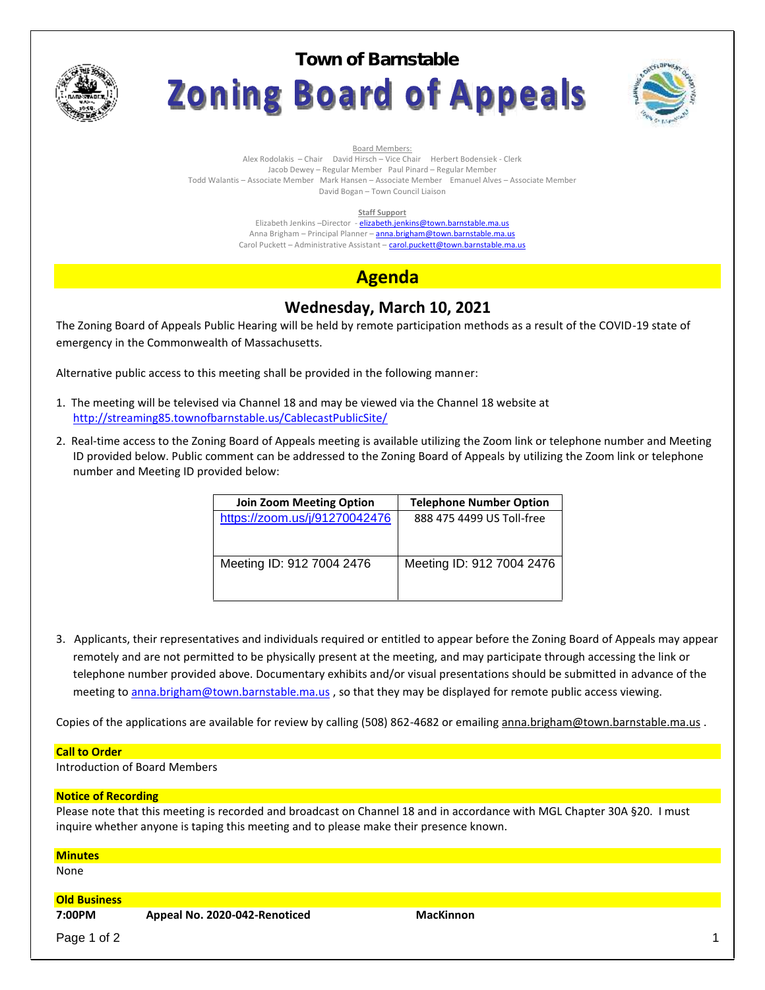

**Town of BarnstableZoning Board of Appeals** 



Board Members:

Alex Rodolakis – Chair David Hirsch – Vice Chair Herbert Bodensiek - Clerk Jacob Dewey – Regular Member Paul Pinard – Regular Member Todd Walantis – Associate Member Mark Hansen – Associate Member Emanuel Alves – Associate Member

David Bogan – Town Council Liaison

#### **Staff Support**

Elizabeth Jenkins -Director - elizabeth.jenkins@town.barnstable.ma.us Anna Brigham – Principal Planner – **anna.brigham@town.barnstable.ma.us** Carol Puckett – Administrative Assistant – carol.puckett@town.barnstable.ma.us

# **Agenda**

## **Wednesday, March 10, 2021**

The Zoning Board of Appeals Public Hearing will be held by remote participation methods as a result of the COVID-19 state of emergency in the Commonwealth of Massachusetts.

Alternative public access to this meeting shall be provided in the following manner:

- 1. The meeting will be televised via Channel 18 and may be viewed via the Channel 18 website at http://streaming85.townofbarnstable.us/CablecastPublicSite/
- 2. Real-time access to the Zoning Board of Appeals meeting is available utilizing the Zoom link or telephone number and Meeting ID provided below. Public comment can be addressed to the Zoning Board of Appeals by utilizing the Zoom link or telephone number and Meeting ID provided below:

| <b>Join Zoom Meeting Option</b> | <b>Telephone Number Option</b> |  |
|---------------------------------|--------------------------------|--|
| https://zoom.us/j/91270042476   | 888 475 4499 US Toll-free      |  |
|                                 |                                |  |
|                                 |                                |  |
| Meeting ID: 912 7004 2476       | Meeting ID: 912 7004 2476      |  |
|                                 |                                |  |
|                                 |                                |  |

3. Applicants, their representatives and individuals required or entitled to appear before the Zoning Board of Appeals may appear remotely and are not permitted to be physically present at the meeting, and may participate through accessing the link or telephone number provided above. Documentary exhibits and/or visual presentations should be submitted in advance of the meeting to anna.brigham@town.barnstable.ma.us, so that they may be displayed for remote public access viewing.

Copies of the applications are available for review by calling (508) 862-4682 or emailing anna.brigham@town.barnstable.ma.us .

#### **Call to Order**

Introduction of Board Members

### **Notice of Recording**

Please note that this meeting is recorded and broadcast on Channel 18 and in accordance with MGL Chapter 30A §20. I must inquire whether anyone is taping this meeting and to please make their presence known.

| <b>Minutes</b>      |                               |                  |  |
|---------------------|-------------------------------|------------------|--|
| None                |                               |                  |  |
| <b>Old Business</b> |                               |                  |  |
| 7:00PM              | Appeal No. 2020-042-Renoticed | <b>MacKinnon</b> |  |
| Page 1 of 2         |                               |                  |  |